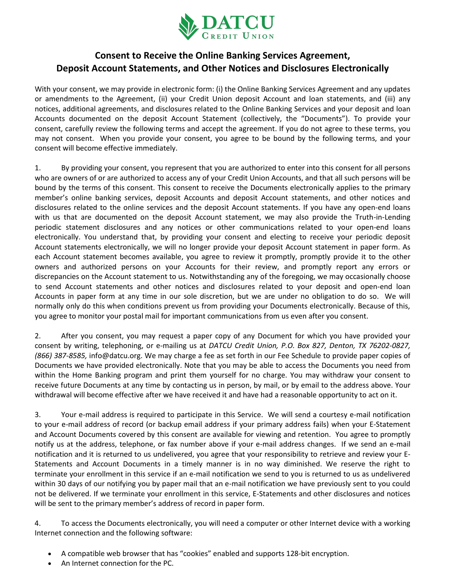

## **Consent to Receive the Online Banking Services Agreement, Deposit Account Statements, and Other Notices and Disclosures Electronically**

With your consent, we may provide in electronic form: (i) the Online Banking Services Agreement and any updates or amendments to the Agreement, (ii) your Credit Union deposit Account and loan statements, and (iii) any notices, additional agreements, and disclosures related to the Online Banking Services and your deposit and loan Accounts documented on the deposit Account Statement (collectively, the "Documents"). To provide your consent, carefully review the following terms and accept the agreement. If you do not agree to these terms, you may not consent. When you provide your consent, you agree to be bound by the following terms, and your consent will become effective immediately.

1. By providing your consent, you represent that you are authorized to enter into this consent for all persons who are owners of or are authorized to access any of your Credit Union Accounts, and that all such persons will be bound by the terms of this consent. This consent to receive the Documents electronically applies to the primary member's online banking services, deposit Accounts and deposit Account statements, and other notices and disclosures related to the online services and the deposit Account statements. If you have any open-end loans with us that are documented on the deposit Account statement, we may also provide the Truth-in-Lending periodic statement disclosures and any notices or other communications related to your open-end loans electronically. You understand that, by providing your consent and electing to receive your periodic deposit Account statements electronically, we will no longer provide your deposit Account statement in paper form. As each Account statement becomes available, you agree to review it promptly, promptly provide it to the other owners and authorized persons on your Accounts for their review, and promptly report any errors or discrepancies on the Account statement to us. Notwithstanding any of the foregoing, we may occasionally choose to send Account statements and other notices and disclosures related to your deposit and open-end loan Accounts in paper form at any time in our sole discretion, but we are under no obligation to do so. We will normally only do this when conditions prevent us from providing your Documents electronically. Because of this, you agree to monitor your postal mail for important communications from us even after you consent.

2. After you consent, you may request a paper copy of any Document for which you have provided your consent by writing, telephoning, or e-mailing us at *DATCU Credit Union, P.O. Box 827, Denton, TX 76202-0827, (866) 387-8585,* info@datcu.org. We may charge a fee as set forth in our Fee Schedule to provide paper copies of Documents we have provided electronically. Note that you may be able to access the Documents you need from within the Home Banking program and print them yourself for no charge. You may withdraw your consent to receive future Documents at any time by contacting us in person, by mail, or by email to the address above. Your withdrawal will become effective after we have received it and have had a reasonable opportunity to act on it.

3. Your e-mail address is required to participate in this Service. We will send a courtesy e-mail notification to your e-mail address of record (or backup email address if your primary address fails) when your E-Statement and Account Documents covered by this consent are available for viewing and retention. You agree to promptly notify us at the address, telephone, or fax number above if your e-mail address changes. If we send an e-mail notification and it is returned to us undelivered, you agree that your responsibility to retrieve and review your E-Statements and Account Documents in a timely manner is in no way diminished. We reserve the right to terminate your enrollment in this service if an e-mail notification we send to you is returned to us as undelivered within 30 days of our notifying you by paper mail that an e-mail notification we have previously sent to you could not be delivered. If we terminate your enrollment in this service, E-Statements and other disclosures and notices will be sent to the primary member's address of record in paper form.

4. To access the Documents electronically, you will need a computer or other Internet device with a working Internet connection and the following software:

- A compatible web browser that has "cookies" enabled and supports 128-bit encryption.
- An Internet connection for the PC.